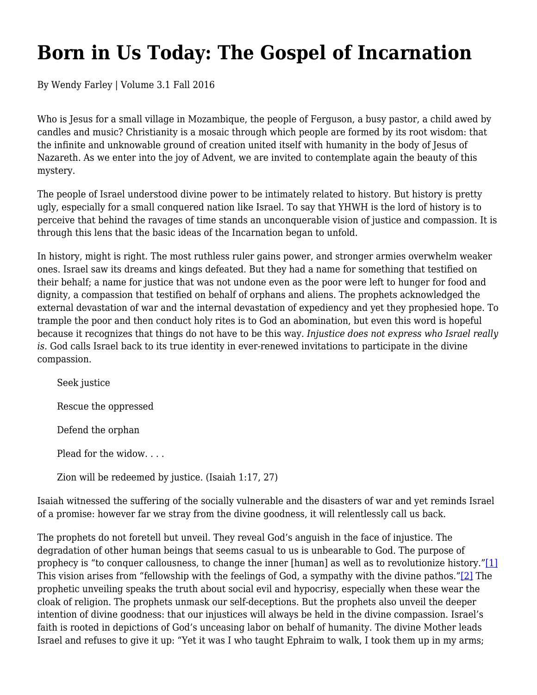## **Born in Us Today: The Gospel of Incarnation**

By Wendy Farley | Volume 3.1 Fall 2016

Who is Jesus for a small village in Mozambique, the people of Ferguson, a busy pastor, a child awed by candles and music? Christianity is a mosaic through which people are formed by its root wisdom: that the infinite and unknowable ground of creation united itself with humanity in the body of Jesus of Nazareth. As we enter into the joy of Advent, we are invited to contemplate again the beauty of this mystery.

The people of Israel understood divine power to be intimately related to history. But history is pretty ugly, especially for a small conquered nation like Israel. To say that YHWH is the lord of history is to perceive that behind the ravages of time stands an unconquerable vision of justice and compassion. It is through this lens that the basic ideas of the Incarnation began to unfold.

In history, might is right. The most ruthless ruler gains power, and stronger armies overwhelm weaker ones. Israel saw its dreams and kings defeated. But they had a name for something that testified on their behalf; a name for justice that was not undone even as the poor were left to hunger for food and dignity, a compassion that testified on behalf of orphans and aliens. The prophets acknowledged the external devastation of war and the internal devastation of expediency and yet they prophesied hope. To trample the poor and then conduct holy rites is to God an abomination, but even this word is hopeful because it recognizes that things do not have to be this way. *Injustice does not express who Israel really is.* God calls Israel back to its true identity in ever-renewed invitations to participate in the divine compassion.

Seek justice Rescue the oppressed Defend the orphan Plead for the widow. . . . Zion will be redeemed by justice. (Isaiah 1:17, 27)

Isaiah witnessed the suffering of the socially vulnerable and the disasters of war and yet reminds Israel of a promise: however far we stray from the divine goodness, it will relentlessly call us back.

The prophets do not foretell but unveil. They reveal God's anguish in the face of injustice. The degradation of other human beings that seems casual to us is unbearable to God. The purpose of prophecy is "to conquer callousness, to change the inner [human] as well as to revolutionize history."[1] This vision arises from "fellowship with the feelings of God, a sympathy with the divine pathos."[2] The prophetic unveiling speaks the truth about social evil and hypocrisy, especially when these wear the cloak of religion. The prophets unmask our self-deceptions. But the prophets also unveil the deeper intention of divine goodness: that our injustices will always be held in the divine compassion. Israel's faith is rooted in depictions of God's unceasing labor on behalf of humanity. The divine Mother leads Israel and refuses to give it up: "Yet it was I who taught Ephraim to walk, I took them up in my arms;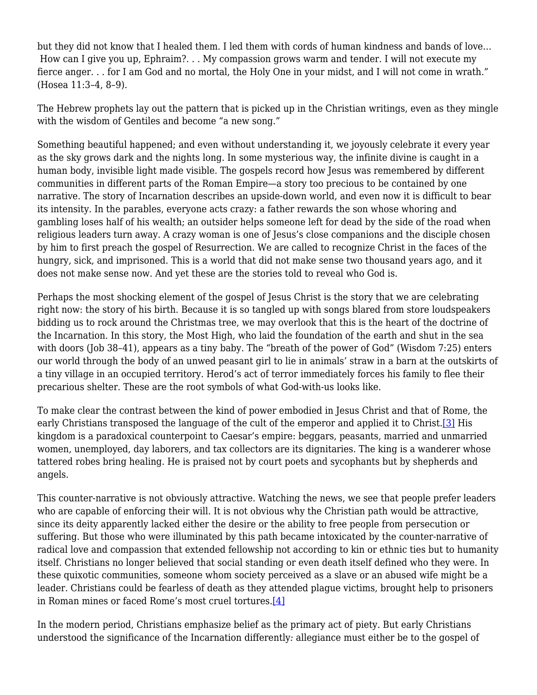but they did not know that I healed them. I led them with cords of human kindness and bands of love… How can I give you up, Ephraim?. . . My compassion grows warm and tender. I will not execute my fierce anger. . . for I am God and no mortal, the Holy One in your midst, and I will not come in wrath." (Hosea 11:3–4, 8–9).

The Hebrew prophets lay out the pattern that is picked up in the Christian writings, even as they mingle with the wisdom of Gentiles and become "a new song."

Something beautiful happened; and even without understanding it, we joyously celebrate it every year as the sky grows dark and the nights long. In some mysterious way, the infinite divine is caught in a human body, invisible light made visible*.* The gospels record how Jesus was remembered by different communities in different parts of the Roman Empire—a story too precious to be contained by one narrative. The story of Incarnation describes an upside-down world, and even now it is difficult to bear its intensity. In the parables, everyone acts crazy: a father rewards the son whose whoring and gambling loses half of his wealth; an outsider helps someone left for dead by the side of the road when religious leaders turn away. A crazy woman is one of Jesus's close companions and the disciple chosen by him to first preach the gospel of Resurrection. We are called to recognize Christ in the faces of the hungry, sick, and imprisoned. This is a world that did not make sense two thousand years ago, and it does not make sense now. And yet these are the stories told to reveal who God is.

Perhaps the most shocking element of the gospel of Jesus Christ is the story that we are celebrating right now: the story of his birth. Because it is so tangled up with songs blared from store loudspeakers bidding us to rock around the Christmas tree, we may overlook that this is the heart of the doctrine of the Incarnation. In this story, the Most High, who laid the foundation of the earth and shut in the sea with doors (Job 38-41), appears as a tiny baby. The "breath of the power of God" (Wisdom 7:25) enters our world through the body of an unwed peasant girl to lie in animals' straw in a barn at the outskirts of a tiny village in an occupied territory. Herod's act of terror immediately forces his family to flee their precarious shelter. These are the root symbols of what God-with-us looks like.

To make clear the contrast between the kind of power embodied in Jesus Christ and that of Rome, the early Christians transposed the language of the cult of the emperor and applied it to Christ.<sup>[3]</sup> His kingdom is a paradoxical counterpoint to Caesar's empire: beggars, peasants, married and unmarried women, unemployed, day laborers, and tax collectors are its dignitaries. The king is a wanderer whose tattered robes bring healing. He is praised not by court poets and sycophants but by shepherds and angels.

This counter-narrative is not obviously attractive. Watching the news, we see that people prefer leaders who are capable of enforcing their will. It is not obvious why the Christian path would be attractive, since its deity apparently lacked either the desire or the ability to free people from persecution or suffering. But those who were illuminated by this path became intoxicated by the counter-narrative of radical love and compassion that extended fellowship not according to kin or ethnic ties but to humanity itself. Christians no longer believed that social standing or even death itself defined who they were. In these quixotic communities, someone whom society perceived as a slave or an abused wife might be a leader. Christians could be fearless of death as they attended plague victims, brought help to prisoners in Roman mines or faced Rome's most cruel tortures.[4]

In the modern period, Christians emphasize belief as the primary act of piety. But early Christians understood the significance of the Incarnation differently*:* allegiance must either be to the gospel of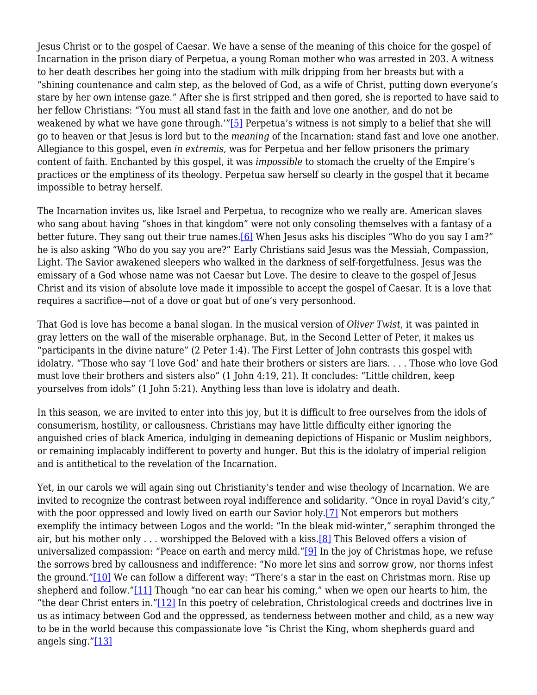Jesus Christ or to the gospel of Caesar. We have a sense of the meaning of this choice for the gospel of Incarnation in the prison diary of Perpetua, a young Roman mother who was arrested in 203. A witness to her death describes her going into the stadium with milk dripping from her breasts but with a "shining countenance and calm step, as the beloved of God, as a wife of Christ, putting down everyone's stare by her own intense gaze." After she is first stripped and then gored, she is reported to have said to her fellow Christians: "You must all stand fast in the faith and love one another, and do not be weakened by what we have gone through.'"[5] Perpetua's witness is not simply to a belief that she will go to heaven or that Jesus is lord but to the *meaning* of the Incarnation: stand fast and love one another. Allegiance to this gospel, even *in extremis*, was for Perpetua and her fellow prisoners the primary content of faith. Enchanted by this gospel, it was *impossible* to stomach the cruelty of the Empire's practices or the emptiness of its theology. Perpetua saw herself so clearly in the gospel that it became impossible to betray herself.

The Incarnation invites us, like Israel and Perpetua, to recognize who we really are. American slaves who sang about having "shoes in that kingdom" were not only consoling themselves with a fantasy of a better future. They sang out their true names.[6] When Jesus asks his disciples "Who do you say I am?" he is also asking "Who do you say you are?" Early Christians said Jesus was the Messiah, Compassion, Light. The Savior awakened sleepers who walked in the darkness of self-forgetfulness. Jesus was the emissary of a God whose name was not Caesar but Love. The desire to cleave to the gospel of Jesus Christ and its vision of absolute love made it impossible to accept the gospel of Caesar. It is a love that requires a sacrifice—not of a dove or goat but of one's very personhood.

That God is love has become a banal slogan. In the musical version of *Oliver Twist*, it was painted in gray letters on the wall of the miserable orphanage. But, in the Second Letter of Peter, it makes us "participants in the divine nature" (2 Peter 1:4). The First Letter of John contrasts this gospel with idolatry. "Those who say 'I love God' and hate their brothers or sisters are liars. . . . Those who love God must love their brothers and sisters also" (1 John 4:19, 21). It concludes: "Little children, keep yourselves from idols" (1 John 5:21). Anything less than love is idolatry and death.

In this season, we are invited to enter into this joy, but it is difficult to free ourselves from the idols of consumerism, hostility, or callousness. Christians may have little difficulty either ignoring the anguished cries of black America, indulging in demeaning depictions of Hispanic or Muslim neighbors, or remaining implacably indifferent to poverty and hunger. But this is the idolatry of imperial religion and is antithetical to the revelation of the Incarnation.

Yet, in our carols we will again sing out Christianity's tender and wise theology of Incarnation. We are invited to recognize the contrast between royal indifference and solidarity. "Once in royal David's city," with the poor oppressed and lowly lived on earth our Savior holy.<sup>[7]</sup> Not emperors but mothers exemplify the intimacy between Logos and the world: "In the bleak mid-winter," seraphim thronged the air, but his mother only . . . worshipped the Beloved with a kiss.<sup>[8]</sup> This Beloved offers a vision of universalized compassion: "Peace on earth and mercy mild."[9] In the joy of Christmas hope, we refuse the sorrows bred by callousness and indifference: "No more let sins and sorrow grow, nor thorns infest the ground."[10] We can follow a different way: "There's a star in the east on Christmas morn. Rise up shepherd and follow."[11] Though "no ear can hear his coming," when we open our hearts to him, the "the dear Christ enters in."[12] In this poetry of celebration, Christological creeds and doctrines live in us as intimacy between God and the oppressed, as tenderness between mother and child, as a new way to be in the world because this compassionate love "is Christ the King, whom shepherds guard and angels sing. $^{\prime\prime}$ [13]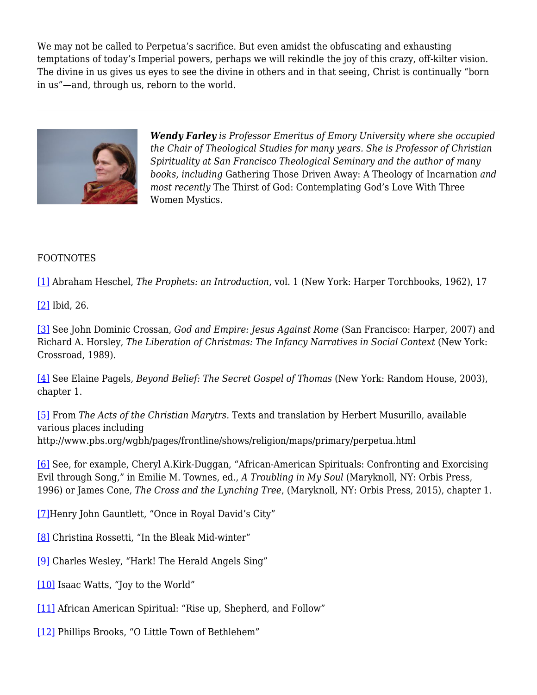We may not be called to Perpetua's sacrifice. But even amidst the obfuscating and exhausting temptations of today's Imperial powers, perhaps we will rekindle the joy of this crazy, off-kilter vision. The divine in us gives us eyes to see the divine in others and in that seeing, Christ is continually "born in us"—and, through us, reborn to the world.



*Wendy Farley is Professor Emeritus of Emory University where she occupied the Chair of Theological Studies for many years. She is Professor of Christian Spirituality at San Francisco Theological Seminary and the author of many books, including* Gathering Those Driven Away: A Theology of Incarnation *and most recently* The Thirst of God: Contemplating God's Love With Three Women Mystics.

## FOOTNOTES

[1] Abraham Heschel, *The Prophets: an Introduction*, vol. 1 (New York: Harper Torchbooks, 1962), 17

[2] Ibid, 26.

[3] See John Dominic Crossan, *God and Empire: Jesus Against Rome* (San Francisco: Harper, 2007) and Richard A. Horsley, *The Liberation of Christmas: The Infancy Narratives in Social Context* (New York: Crossroad, 1989).

[4] See Elaine Pagels*, Beyond Belief: The Secret Gospel of Thomas* (New York: Random House, 2003), chapter 1.

[5] From *The Acts of the Christian Marytrs*. Texts and translation by Herbert Musurillo, available various places including http://www.pbs.org/wgbh/pages/frontline/shows/religion/maps/primary/perpetua.html

[6] See, for example, Cheryl A.Kirk-Duggan, "African-American Spirituals: Confronting and Exorcising Evil through Song," in Emilie M. Townes, ed., *A Troubling in My Soul* (Maryknoll, NY: Orbis Press, 1996) or James Cone, *The Cross and the Lynching Tree*, (Maryknoll, NY: Orbis Press, 2015), chapter 1.

[7]Henry John Gauntlett, "Once in Royal David's City"

- [8] Christina Rossetti, "In the Bleak Mid-winter"
- [9] Charles Wesley, "Hark! The Herald Angels Sing"
- [10] Isaac Watts, "Joy to the World"
- [11] African American Spiritual: "Rise up, Shepherd, and Follow"
- [12] Phillips Brooks, "O Little Town of Bethlehem"